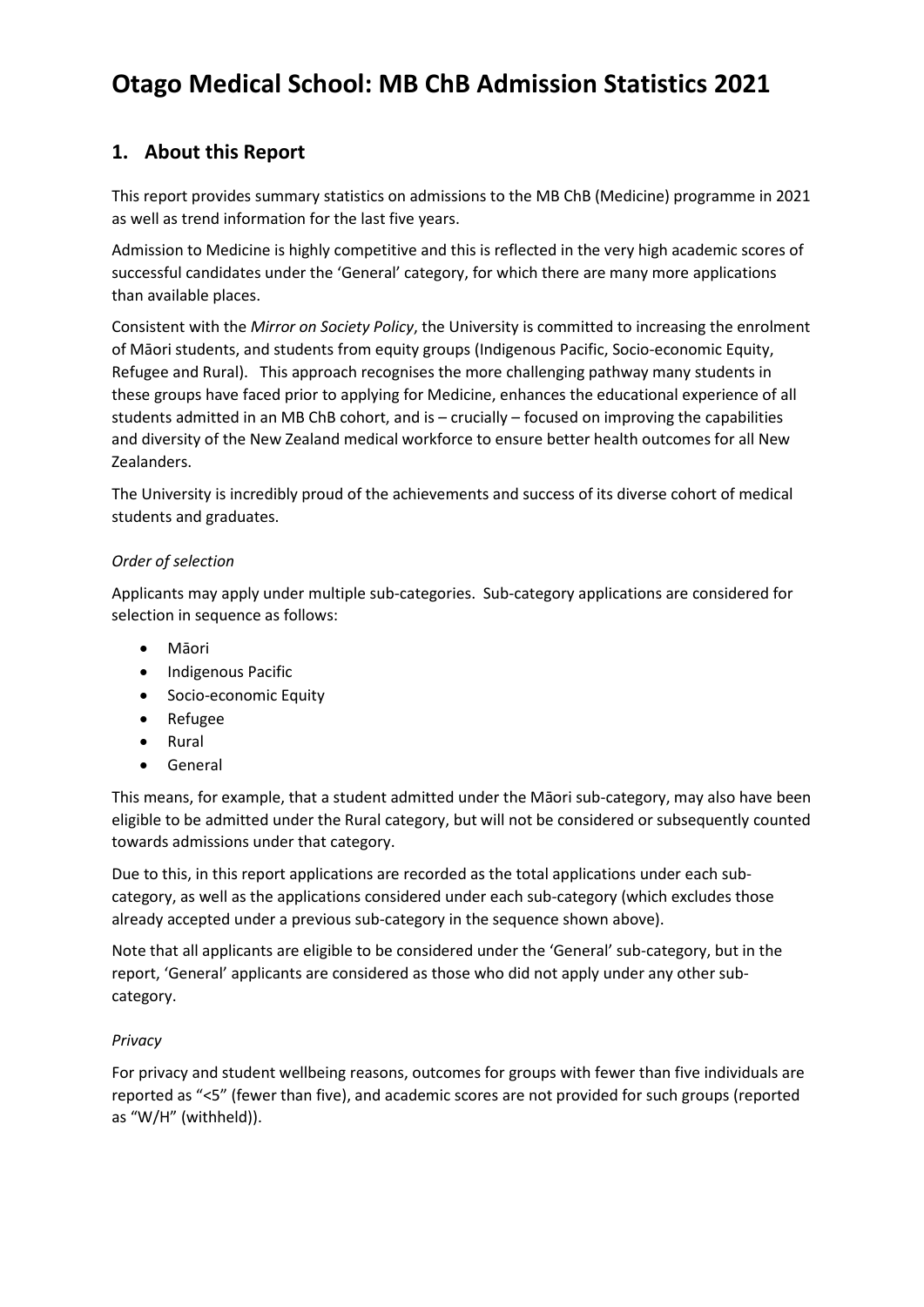# **Otago Medical School: MB ChB Admission Statistics 2021**

### **1. About this Report**

This report provides summary statistics on admissions to the MB ChB (Medicine) programme in 2021 as well as trend information for the last five years.

Admission to Medicine is highly competitive and this is reflected in the very high academic scores of successful candidates under the 'General' category, for which there are many more applications than available places.

Consistent with the *Mirror on Society Policy*, the University is committed to increasing the enrolment of Māori students, and students from equity groups (Indigenous Pacific, Socio-economic Equity, Refugee and Rural). This approach recognises the more challenging pathway many students in these groups have faced prior to applying for Medicine, enhances the educational experience of all students admitted in an MB ChB cohort, and is – crucially – focused on improving the capabilities and diversity of the New Zealand medical workforce to ensure better health outcomes for all New Zealanders.

The University is incredibly proud of the achievements and success of its diverse cohort of medical students and graduates.

### *Order of selection*

Applicants may apply under multiple sub-categories. Sub-category applications are considered for selection in sequence as follows:

- Māori
- Indigenous Pacific
- Socio-economic Equity
- Refugee
- Rural
- General

This means, for example, that a student admitted under the Māori sub-category, may also have been eligible to be admitted under the Rural category, but will not be considered or subsequently counted towards admissions under that category.

Due to this, in this report applications are recorded as the total applications under each subcategory, as well as the applications considered under each sub-category (which excludes those already accepted under a previous sub-category in the sequence shown above).

Note that all applicants are eligible to be considered under the 'General' sub-category, but in the report, 'General' applicants are considered as those who did not apply under any other subcategory.

### *Privacy*

For privacy and student wellbeing reasons, outcomes for groups with fewer than five individuals are reported as "<5" (fewer than five), and academic scores are not provided for such groups (reported as "W/H" (withheld)).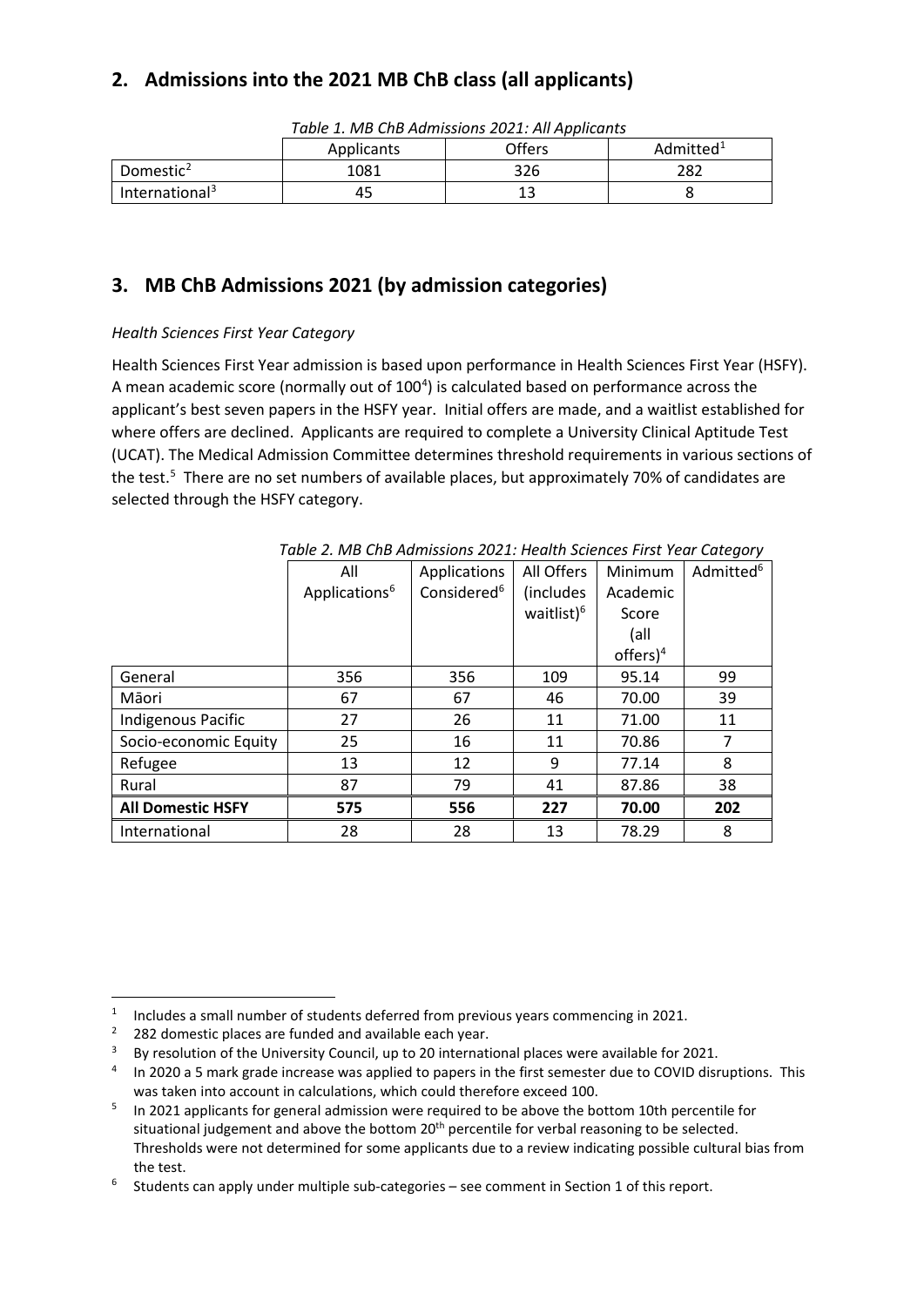## **2. Admissions into the 2021 MB ChB class (all applicants)**

|                            | rapic 1. MD ChD Admissions 2021. All Applicants |        |                       |  |  |  |  |
|----------------------------|-------------------------------------------------|--------|-----------------------|--|--|--|--|
|                            | Applicants                                      | Offers | Admitted <sup>1</sup> |  |  |  |  |
| Domestic <sup>2</sup>      | 1081                                            | 326    | 282                   |  |  |  |  |
| International <sup>3</sup> | 45                                              |        |                       |  |  |  |  |

*Table 1. MB ChB Admissions 2021: All Applicants*

## **3. MB ChB Admissions 2021 (by admission categories)**

### *Health Sciences First Year Category*

Health Sciences First Year admission is based upon performance in Health Sciences First Year (HSFY). A mean academic score (normally out of 100<sup>4</sup>) is calculated based on performance across the applicant's best seven papers in the HSFY year. Initial offers are made, and a waitlist established for where offers are declined. Applicants are required to complete a University Clinical Aptitude Test (UCAT). The Medical Admission Committee determines threshold requirements in various sections of the test.<sup>5</sup> There are no set numbers of available places, but approximately 70% of candidates are selected through the HSFY category.

|                           | All                       | Applications            | All Offers             | Minimum     | Admitted <sup>6</sup> |
|---------------------------|---------------------------|-------------------------|------------------------|-------------|-----------------------|
|                           | Applications <sup>6</sup> | Considered <sup>6</sup> | (includes              | Academic    |                       |
|                           |                           |                         | waitlist) <sup>6</sup> | Score       |                       |
|                           |                           |                         |                        | (all        |                       |
|                           |                           |                         |                        | $offers)^4$ |                       |
| General                   | 356                       | 356                     | 109                    | 95.14       | 99                    |
| Māori                     | 67                        | 67                      | 46                     | 70.00       | 39                    |
| <b>Indigenous Pacific</b> | 27                        | 26                      | 11                     | 71.00       | 11                    |
| Socio-economic Equity     | 25                        | 16                      | 11                     | 70.86       | 7                     |
| Refugee                   | 13                        | 12                      | 9                      | 77.14       | 8                     |
| Rural                     | 87                        | 79                      | 41                     | 87.86       | 38                    |
| <b>All Domestic HSFY</b>  | 575                       | 556                     | 227                    | 70.00       | 202                   |
| International             | 28                        | 28                      | 13                     | 78.29       | 8                     |

*Table 2. MB ChB Admissions 2021: Health Sciences First Year Category*

 $\overline{a}$ <sup>1</sup> Includes a small number of students deferred from previous years commencing in 2021.<br><sup>2</sup> 282 domestic places are funded and available each year.

 $282$  domestic places are funded and available each year.

<sup>&</sup>lt;sup>3</sup> By resolution of the University Council, up to 20 international places were available for 2021.

<sup>&</sup>lt;sup>4</sup> In 2020 a 5 mark grade increase was applied to papers in the first semester due to COVID disruptions. This was taken into account in calculations, which could therefore exceed 100.

 $5$  In 2021 applicants for general admission were required to be above the bottom 10th percentile for situational judgement and above the bottom 20<sup>th</sup> percentile for verbal reasoning to be selected. Thresholds were not determined for some applicants due to a review indicating possible cultural bias from the test.

 $6$  Students can apply under multiple sub-categories – see comment in Section 1 of this report.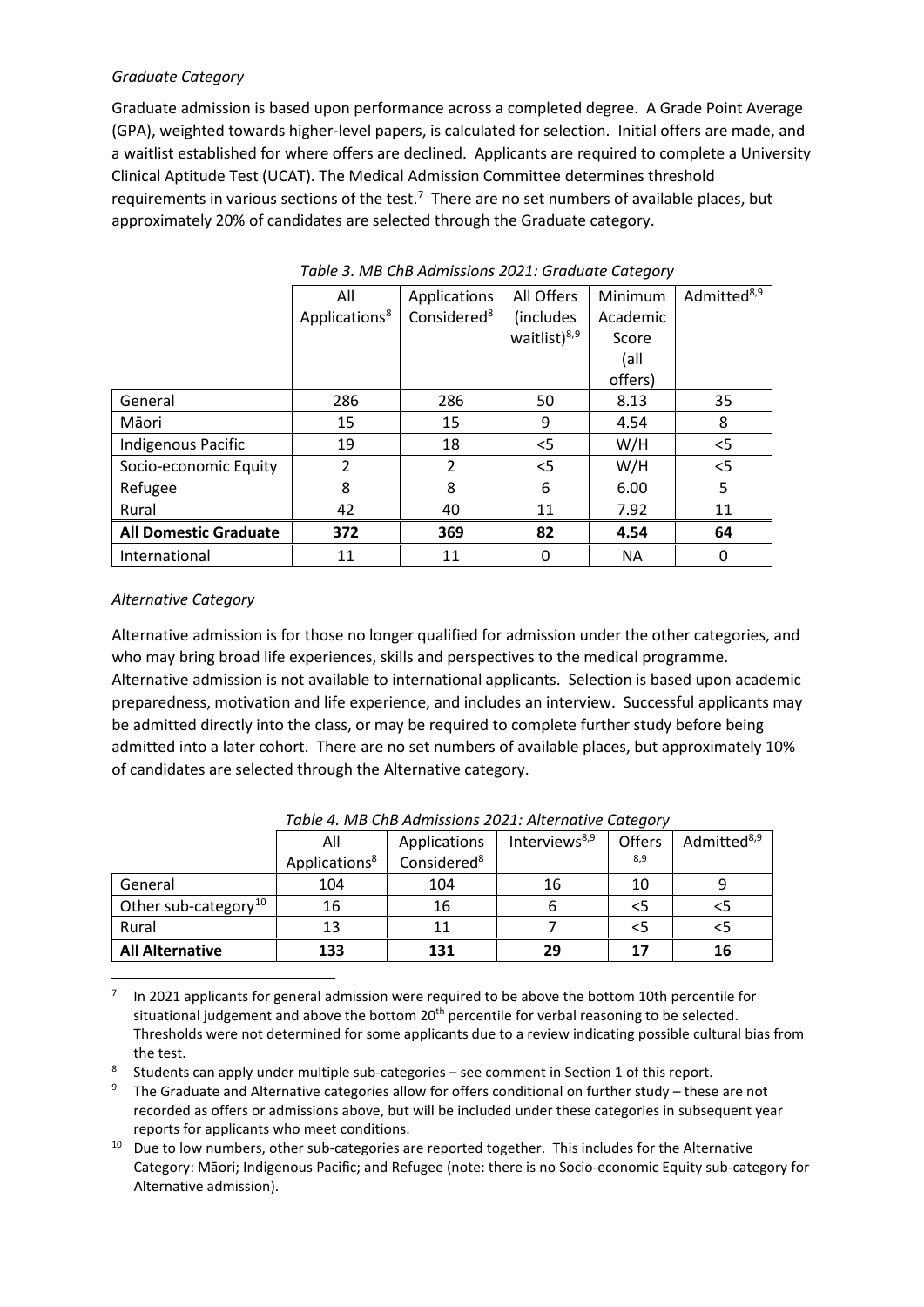#### *Graduate Category*

Graduate admission is based upon performance across a completed degree. A Grade Point Average (GPA), weighted towards higher-level papers, is calculated for selection. Initial offers are made, and a waitlist established for where offers are declined. Applicants are required to complete a University Clinical Aptitude Test (UCAT). The Medical Admission Committee determines threshold requirements in various sections of the test.<sup>7</sup> There are no set numbers of available places, but approximately 20% of candidates are selected through the Graduate category.

|                              | All                       | Applications            | All Offers               | Minimum   | Admitted <sup>8,9</sup> |
|------------------------------|---------------------------|-------------------------|--------------------------|-----------|-------------------------|
|                              | Applications <sup>8</sup> | Considered <sup>8</sup> | (includes)               | Academic  |                         |
|                              |                           |                         | waitlist) <sup>8,9</sup> | Score     |                         |
|                              |                           |                         |                          | (all      |                         |
|                              |                           |                         |                          | offers)   |                         |
| General                      | 286                       | 286                     | 50                       | 8.13      | 35                      |
| Māori                        | 15                        | 15                      | 9                        | 4.54      | 8                       |
| <b>Indigenous Pacific</b>    | 19                        | 18                      | $<$ 5                    | W/H       | $<$ 5                   |
| Socio-economic Equity        | $\overline{2}$            | $\overline{2}$          | $<$ 5                    | W/H       | $<$ 5                   |
| Refugee                      | 8                         | 8                       | 6                        | 6.00      | 5                       |
| Rural                        | 42                        | 40                      | 11                       | 7.92      | 11                      |
| <b>All Domestic Graduate</b> | 372                       | 369                     | 82                       | 4.54      | 64                      |
| International                | 11                        | 11                      | 0                        | <b>NA</b> | 0                       |

*Table 3. MB ChB Admissions 2021: Graduate Category*

#### *Alternative Category*

**.** 

Alternative admission is for those no longer qualified for admission under the other categories, and who may bring broad life experiences, skills and perspectives to the medical programme. Alternative admission is not available to international applicants. Selection is based upon academic preparedness, motivation and life experience, and includes an interview. Successful applicants may be admitted directly into the class, or may be required to complete further study before being admitted into a later cohort. There are no set numbers of available places, but approximately 10% of candidates are selected through the Alternative category.

|                                  | All                       | Applications            | Interviews <sup>8,9</sup> | Offers | Admitted <sup>8,9</sup> |
|----------------------------------|---------------------------|-------------------------|---------------------------|--------|-------------------------|
|                                  | Applications <sup>8</sup> | Considered <sup>8</sup> |                           | 8,9    |                         |
| General                          | 104                       | 104                     | 16                        | 10     |                         |
| Other sub-category <sup>10</sup> | 16                        | 16                      |                           |        | כ>                      |
| Rural                            | 13                        |                         |                           |        |                         |
| <b>All Alternative</b>           | 133                       | 131                     | 29                        | 17     | 16                      |

*Table 4. MB ChB Admissions 2021: Alternative Category*

7 In 2021 applicants for general admission were required to be above the bottom 10th percentile for situational judgement and above the bottom  $20<sup>th</sup>$  percentile for verbal reasoning to be selected. Thresholds were not determined for some applicants due to a review indicating possible cultural bias from the test.

8 Students can apply under multiple sub-categories – see comment in Section 1 of this report.

- <sup>9</sup> The Graduate and Alternative categories allow for offers conditional on further study these are not recorded as offers or admissions above, but will be included under these categories in subsequent year reports for applicants who meet conditions.
- $10$  Due to low numbers, other sub-categories are reported together. This includes for the Alternative Category: Māori; Indigenous Pacific; and Refugee (note: there is no Socio-economic Equity sub-category for Alternative admission).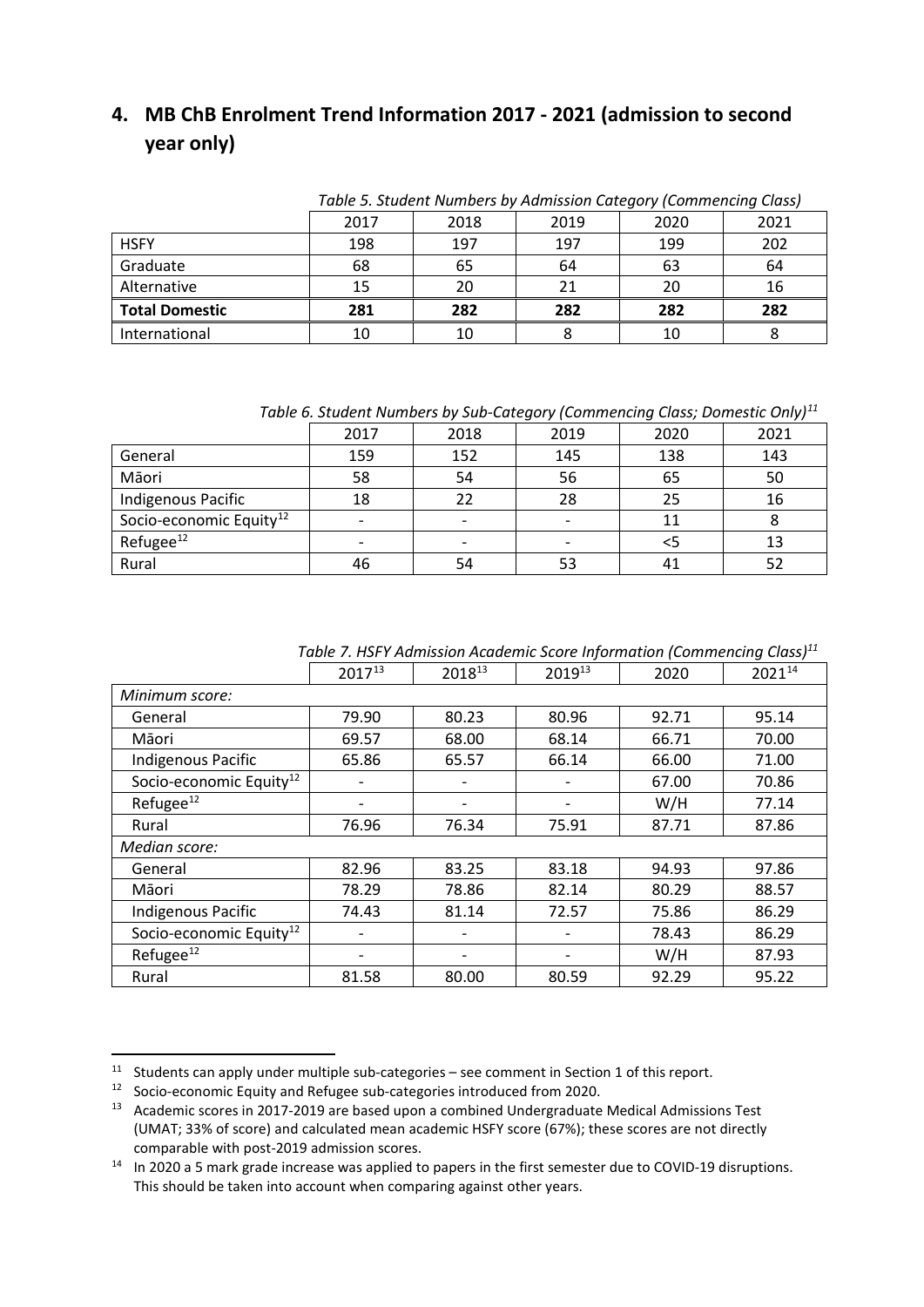# **4. MB ChB Enrolment Trend Information 2017 - 2021 (admission to second year only)**

|                       | Table 5. Student Numbers by Admission Category (Commencing Class) |      |      |      |      |
|-----------------------|-------------------------------------------------------------------|------|------|------|------|
|                       | 2017                                                              | 2018 | 2019 | 2020 | 2021 |
| <b>HSFY</b>           | 198                                                               | 197  | 197  | 199  | 202  |
| Graduate              | 68                                                                | 65   | 64   | 63   | 64   |
| Alternative           | 15                                                                | 20   | 21   | 20   | 16   |
| <b>Total Domestic</b> | 281                                                               | 282  | 282  | 282  | 282  |
| International         | 10                                                                | 10   |      | 10   |      |

*Table 6. Student Numbers by Sub-Category (Commencing Class; Domestic Only)11*

|                                     | 2017 | 2018 | 2019 | 2020 | 2021 |
|-------------------------------------|------|------|------|------|------|
| General                             | 159  | 152  | 145  | 138  | 143  |
| Māori                               | 58   | 54   | 56   | 65   | 50   |
| Indigenous Pacific                  | 18   | 22   | 28   | 25   | 16   |
| Socio-economic Equity <sup>12</sup> |      |      |      | 11   |      |
| Refugee <sup>12</sup>               |      |      | -    | <5   | 13   |
| Rural                               | 46   | 54   | 53   | 41   |      |

*Table 7. HSFY Admission Academic Score Information (Commencing Class)11*

|                                     | 201713 | 201813 | 201913 | 2020  | 202114 |  |
|-------------------------------------|--------|--------|--------|-------|--------|--|
| Minimum score:                      |        |        |        |       |        |  |
| General                             | 79.90  | 80.23  | 80.96  | 92.71 | 95.14  |  |
| Māori                               | 69.57  | 68.00  | 68.14  | 66.71 | 70.00  |  |
| Indigenous Pacific                  | 65.86  | 65.57  | 66.14  | 66.00 | 71.00  |  |
| Socio-economic Equity <sup>12</sup> |        |        |        | 67.00 | 70.86  |  |
| Refugee $^{12}$                     |        |        |        | W/H   | 77.14  |  |
| Rural                               | 76.96  | 76.34  | 75.91  | 87.71 | 87.86  |  |
| Median score:                       |        |        |        |       |        |  |
| General                             | 82.96  | 83.25  | 83.18  | 94.93 | 97.86  |  |
| Māori                               | 78.29  | 78.86  | 82.14  | 80.29 | 88.57  |  |
| Indigenous Pacific                  | 74.43  | 81.14  | 72.57  | 75.86 | 86.29  |  |
| Socio-economic Equity <sup>12</sup> |        |        |        | 78.43 | 86.29  |  |
| Refugee <sup>12</sup>               |        |        |        | W/H   | 87.93  |  |
| Rural                               | 81.58  | 80.00  | 80.59  | 92.29 | 95.22  |  |

<u>.</u>

<sup>11</sup> Students can apply under multiple sub-categories – see comment in Section 1 of this report.

<sup>12</sup> Socio-economic Equity and Refugee sub-categories introduced from 2020.

<sup>&</sup>lt;sup>13</sup> Academic scores in 2017-2019 are based upon a combined Undergraduate Medical Admissions Test (UMAT; 33% of score) and calculated mean academic HSFY score (67%); these scores are not directly comparable with post-2019 admission scores.

<sup>&</sup>lt;sup>14</sup> In 2020 a 5 mark grade increase was applied to papers in the first semester due to COVID-19 disruptions. This should be taken into account when comparing against other years.